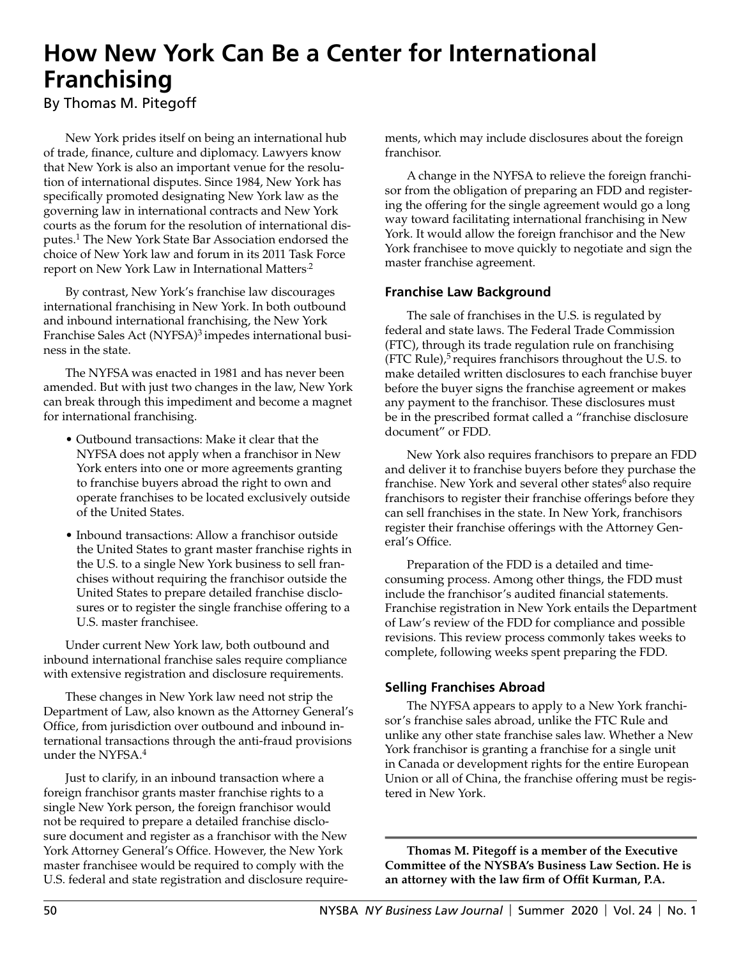# **How New York Can Be a Center for International Franchising**

By Thomas M. Pitegoff

New York prides itself on being an international hub of trade, finance, culture and diplomacy. Lawyers know that New York is also an important venue for the resolution of international disputes. Since 1984, New York has specifically promoted designating New York law as the governing law in international contracts and New York courts as the forum for the resolution of international disputes.1 The New York State Bar Association endorsed the choice of New York law and forum in its 2011 Task Force report on New York Law in International Matters<sup>2</sup>

By contrast, New York's franchise law discourages international franchising in New York. In both outbound and inbound international franchising, the New York Franchise Sales Act (NYFSA)<sup>3</sup> impedes international business in the state.

The NYFSA was enacted in 1981 and has never been amended. But with just two changes in the law, New York can break through this impediment and become a magnet for international franchising.

- Outbound transactions: Make it clear that the NYFSA does not apply when a franchisor in New York enters into one or more agreements granting to franchise buyers abroad the right to own and operate franchises to be located exclusively outside of the United States.
- Inbound transactions: Allow a franchisor outside the United States to grant master franchise rights in the U.S. to a single New York business to sell franchises without requiring the franchisor outside the United States to prepare detailed franchise disclosures or to register the single franchise offering to a U.S. master franchisee.

Under current New York law, both outbound and inbound international franchise sales require compliance with extensive registration and disclosure requirements.

These changes in New York law need not strip the Department of Law, also known as the Attorney General's Office, from jurisdiction over outbound and inbound international transactions through the anti-fraud provisions under the NYFSA.<sup>4</sup>

Just to clarify, in an inbound transaction where a foreign franchisor grants master franchise rights to a single New York person, the foreign franchisor would not be required to prepare a detailed franchise disclosure document and register as a franchisor with the New York Attorney General's Office. However, the New York master franchisee would be required to comply with the U.S. federal and state registration and disclosure requirements, which may include disclosures about the foreign franchisor.

A change in the NYFSA to relieve the foreign franchisor from the obligation of preparing an FDD and registering the offering for the single agreement would go a long way toward facilitating international franchising in New York. It would allow the foreign franchisor and the New York franchisee to move quickly to negotiate and sign the master franchise agreement.

## **Franchise Law Background**

The sale of franchises in the U.S. is regulated by federal and state laws. The Federal Trade Commission (FTC), through its trade regulation rule on franchising (FTC Rule), $5$  requires franchisors throughout the U.S. to make detailed written disclosures to each franchise buyer before the buyer signs the franchise agreement or makes any payment to the franchisor. These disclosures must be in the prescribed format called a "franchise disclosure document" or FDD.

New York also requires franchisors to prepare an FDD and deliver it to franchise buyers before they purchase the franchise. New York and several other states<sup>6</sup> also require franchisors to register their franchise offerings before they can sell franchises in the state. In New York, franchisors register their franchise offerings with the Attorney General's Office.

Preparation of the FDD is a detailed and timeconsuming process. Among other things, the FDD must include the franchisor's audited financial statements. Franchise registration in New York entails the Department of Law's review of the FDD for compliance and possible revisions. This review process commonly takes weeks to complete, following weeks spent preparing the FDD.

# **Selling Franchises Abroad**

The NYFSA appears to apply to a New York franchisor's franchise sales abroad, unlike the FTC Rule and unlike any other state franchise sales law. Whether a New York franchisor is granting a franchise for a single unit in Canada or development rights for the entire European Union or all of China, the franchise offering must be registered in New York.

**Thomas M. Pitegoff is a member of the Executive Committee of the NYSBA's Business Law Section. He is an attorney with the law firm of Offit Kurman, P.A.**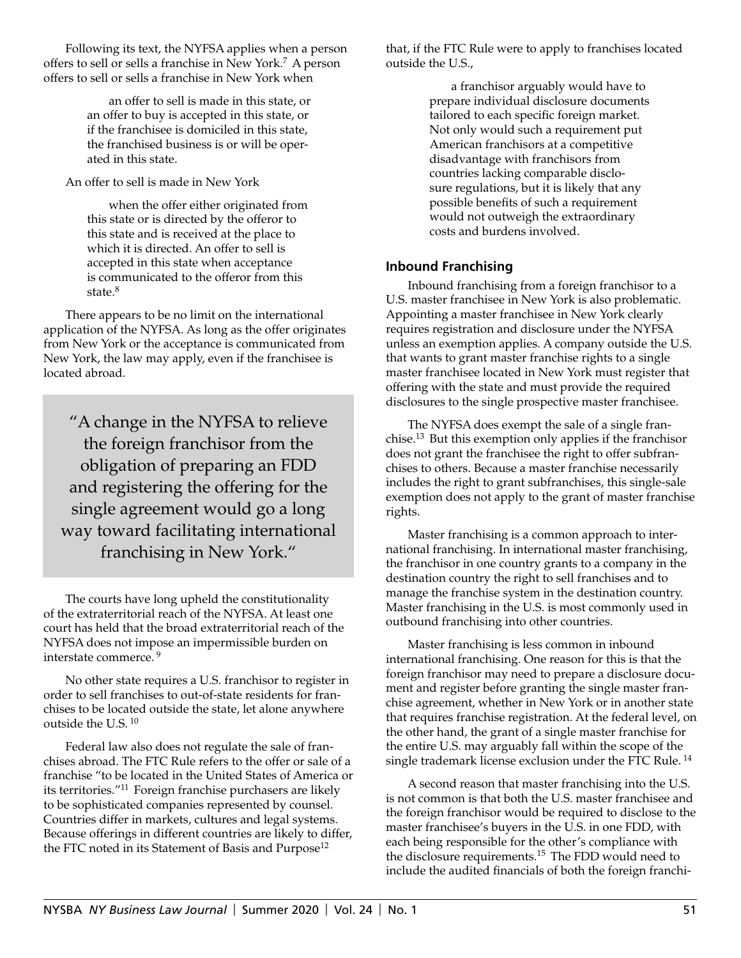Following its text, the NYFSA applies when a person offers to sell or sells a franchise in New York.7 A person offers to sell or sells a franchise in New York when

> an offer to sell is made in this state, or an offer to buy is accepted in this state, or if the franchisee is domiciled in this state, the franchised business is or will be operated in this state.

An offer to sell is made in New York

when the offer either originated from this state or is directed by the offeror to this state and is received at the place to which it is directed. An offer to sell is accepted in this state when acceptance is communicated to the offeror from this state.<sup>8</sup>

There appears to be no limit on the international application of the NYFSA. As long as the offer originates from New York or the acceptance is communicated from New York, the law may apply, even if the franchisee is located abroad.

"A change in the NYFSA to relieve the foreign franchisor from the obligation of preparing an FDD and registering the offering for the single agreement would go a long way toward facilitating international franchising in New York."

The courts have long upheld the constitutionality of the extraterritorial reach of the NYFSA. At least one court has held that the broad extraterritorial reach of the NYFSA does not impose an impermissible burden on interstate commerce. 9

No other state requires a U.S. franchisor to register in order to sell franchises to out-of-state residents for franchises to be located outside the state, let alone anywhere outside the U.S. 10

Federal law also does not regulate the sale of franchises abroad. The FTC Rule refers to the offer or sale of a franchise "to be located in the United States of America or its territories."11 Foreign franchise purchasers are likely to be sophisticated companies represented by counsel. Countries differ in markets, cultures and legal systems. Because offerings in different countries are likely to differ, the FTC noted in its Statement of Basis and Purpose<sup>12</sup>

that, if the FTC Rule were to apply to franchises located outside the U.S.,

> a franchisor arguably would have to prepare individual disclosure documents tailored to each specific foreign market. Not only would such a requirement put American franchisors at a competitive disadvantage with franchisors from countries lacking comparable disclosure regulations, but it is likely that any possible benefits of such a requirement would not outweigh the extraordinary costs and burdens involved.

# **Inbound Franchising**

Inbound franchising from a foreign franchisor to a U.S. master franchisee in New York is also problematic. Appointing a master franchisee in New York clearly requires registration and disclosure under the NYFSA unless an exemption applies. A company outside the U.S. that wants to grant master franchise rights to a single master franchisee located in New York must register that offering with the state and must provide the required disclosures to the single prospective master franchisee.

The NYFSA does exempt the sale of a single franchise.13 But this exemption only applies if the franchisor does not grant the franchisee the right to offer subfranchises to others. Because a master franchise necessarily includes the right to grant subfranchises, this single-sale exemption does not apply to the grant of master franchise rights.

Master franchising is a common approach to international franchising. In international master franchising, the franchisor in one country grants to a company in the destination country the right to sell franchises and to manage the franchise system in the destination country. Master franchising in the U.S. is most commonly used in outbound franchising into other countries.

Master franchising is less common in inbound international franchising. One reason for this is that the foreign franchisor may need to prepare a disclosure document and register before granting the single master franchise agreement, whether in New York or in another state that requires franchise registration. At the federal level, on the other hand, the grant of a single master franchise for the entire U.S. may arguably fall within the scope of the single trademark license exclusion under the FTC Rule.<sup>14</sup>

A second reason that master franchising into the U.S. is not common is that both the U.S. master franchisee and the foreign franchisor would be required to disclose to the master franchisee's buyers in the U.S. in one FDD, with each being responsible for the other's compliance with the disclosure requirements.15 The FDD would need to include the audited financials of both the foreign franchi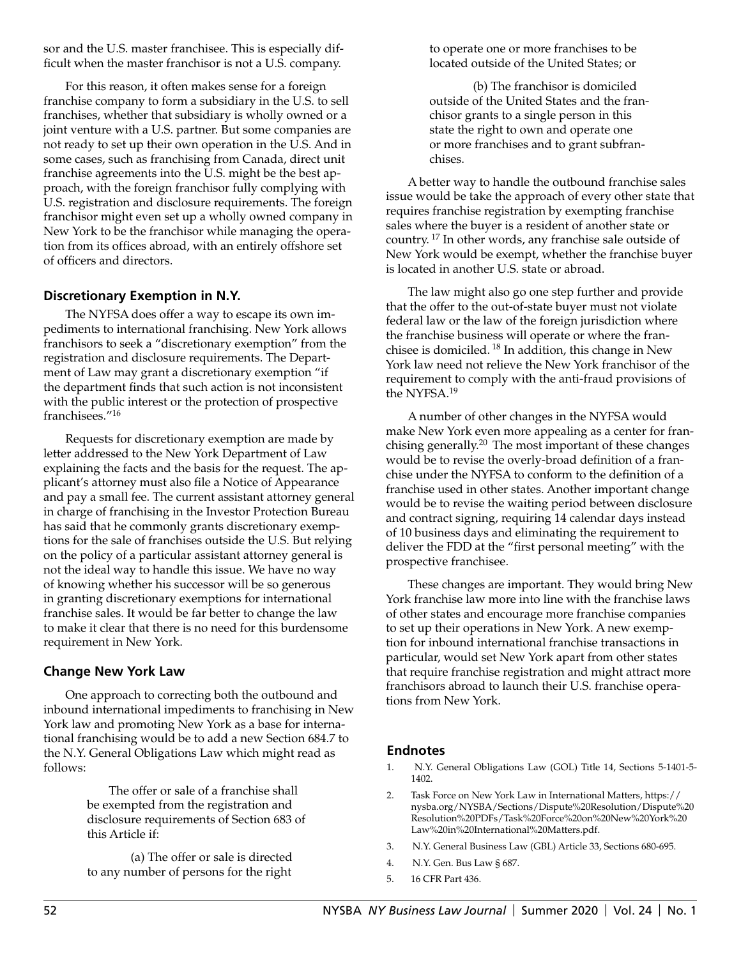sor and the U.S. master franchisee. This is especially difficult when the master franchisor is not a U.S. company.

For this reason, it often makes sense for a foreign franchise company to form a subsidiary in the U.S. to sell franchises, whether that subsidiary is wholly owned or a joint venture with a U.S. partner. But some companies are not ready to set up their own operation in the U.S. And in some cases, such as franchising from Canada, direct unit franchise agreements into the U.S. might be the best approach, with the foreign franchisor fully complying with U.S. registration and disclosure requirements. The foreign franchisor might even set up a wholly owned company in New York to be the franchisor while managing the operation from its offices abroad, with an entirely offshore set of officers and directors.

## **Discretionary Exemption in N.Y.**

The NYFSA does offer a way to escape its own impediments to international franchising. New York allows franchisors to seek a "discretionary exemption" from the registration and disclosure requirements. The Department of Law may grant a discretionary exemption "if the department finds that such action is not inconsistent with the public interest or the protection of prospective franchisees."16

Requests for discretionary exemption are made by letter addressed to the New York Department of Law explaining the facts and the basis for the request. The applicant's attorney must also file a Notice of Appearance and pay a small fee. The current assistant attorney general in charge of franchising in the Investor Protection Bureau has said that he commonly grants discretionary exemptions for the sale of franchises outside the U.S. But relying on the policy of a particular assistant attorney general is not the ideal way to handle this issue. We have no way of knowing whether his successor will be so generous in granting discretionary exemptions for international franchise sales. It would be far better to change the law to make it clear that there is no need for this burdensome requirement in New York.

#### **Change New York Law**

One approach to correcting both the outbound and inbound international impediments to franchising in New York law and promoting New York as a base for international franchising would be to add a new Section 684.7 to the N.Y. General Obligations Law which might read as follows:

> The offer or sale of a franchise shall be exempted from the registration and disclosure requirements of Section 683 of this Article if:

(a) The offer or sale is directed to any number of persons for the right

to operate one or more franchises to be located outside of the United States; or

(b) The franchisor is domiciled outside of the United States and the franchisor grants to a single person in this state the right to own and operate one or more franchises and to grant subfranchises.

A better way to handle the outbound franchise sales issue would be take the approach of every other state that requires franchise registration by exempting franchise sales where the buyer is a resident of another state or country. 17 In other words, any franchise sale outside of New York would be exempt, whether the franchise buyer is located in another U.S. state or abroad.

The law might also go one step further and provide that the offer to the out-of-state buyer must not violate federal law or the law of the foreign jurisdiction where the franchise business will operate or where the franchisee is domiciled. 18 In addition, this change in New York law need not relieve the New York franchisor of the requirement to comply with the anti-fraud provisions of the NYFSA.<sup>19</sup>

A number of other changes in the NYFSA would make New York even more appealing as a center for franchising generally.20 The most important of these changes would be to revise the overly-broad definition of a franchise under the NYFSA to conform to the definition of a franchise used in other states. Another important change would be to revise the waiting period between disclosure and contract signing, requiring 14 calendar days instead of 10 business days and eliminating the requirement to deliver the FDD at the "first personal meeting" with the prospective franchisee.

These changes are important. They would bring New York franchise law more into line with the franchise laws of other states and encourage more franchise companies to set up their operations in New York. A new exemption for inbound international franchise transactions in particular, would set New York apart from other states that require franchise registration and might attract more franchisors abroad to launch their U.S. franchise operations from New York.

## **Endnotes**

- 1. N.Y. General Obligations Law (GOL) Title 14, Sections 5-1401-5- 1402.
- 2. Task Force on New York Law in International Matters, [https://](https://nysba.org/NYSBA/Sections/Dispute%20Resolution/Dispute%20Resolution%20PDFs/Task%20Force%20on%20New%20York%20Law%20in%20International%20Matters.pdf) [nysba.org/NYSBA/Sections/Dispute%20Resolution/Dispute%20](https://nysba.org/NYSBA/Sections/Dispute%20Resolution/Dispute%20Resolution%20PDFs/Task%20Force%20on%20New%20York%20Law%20in%20International%20Matters.pdf) [Resolution%20PDFs/Task%20Force%20on%20New%20York%20](https://nysba.org/NYSBA/Sections/Dispute%20Resolution/Dispute%20Resolution%20PDFs/Task%20Force%20on%20New%20York%20Law%20in%20International%20Matters.pdf) [Law%20in%20International%20Matters.pdf.](https://nysba.org/NYSBA/Sections/Dispute%20Resolution/Dispute%20Resolution%20PDFs/Task%20Force%20on%20New%20York%20Law%20in%20International%20Matters.pdf)
- 3. N.Y. General Business Law (GBL) Article 33, Sections 680-695.
- 4. N.Y. Gen. Bus Law § 687.
- 5. 16 CFR Part 436.